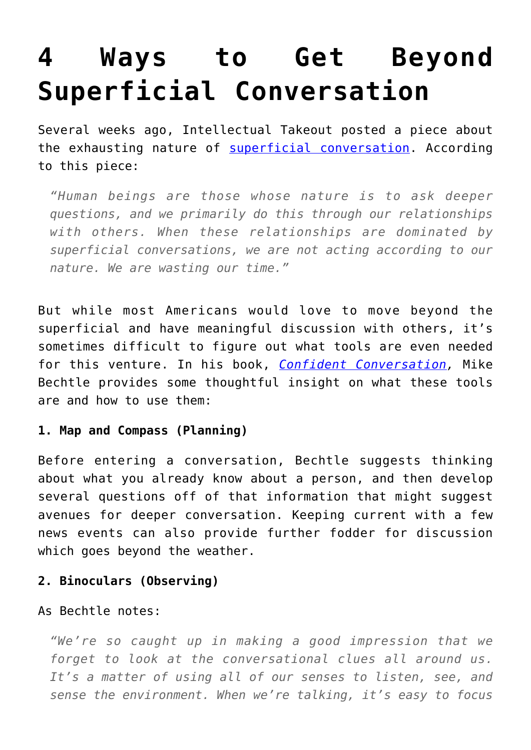# **[4 Ways to Get Beyond](https://intellectualtakeout.org/2016/04/4-ways-to-get-beyond-superficial-conversation/) [Superficial Conversation](https://intellectualtakeout.org/2016/04/4-ways-to-get-beyond-superficial-conversation/)**

Several weeks ago, Intellectual Takeout posted a piece about the exhausting nature of [superficial conversation.](https://www.intellectualtakeout.org/blog/why-superficial-conversation-soooo-exhausting) According to this piece:

*"Human beings are those whose nature is to ask deeper questions, and we primarily do this through our relationships with others. When these relationships are dominated by superficial conversations, we are not acting according to our nature. We are wasting our time."*

But while most Americans would love to move beyond the superficial and have meaningful discussion with others, it's sometimes difficult to figure out what tools are even needed for this venture. In his book, *[Confident Conversation,](http://www.amazon.com/gp/product/0800732421/ref=as_li_qf_sp_asin_il_tl?ie=UTF8&camp=1789&creative=9325&creativeASIN=0800732421&linkCode=as2&tag=intelltakeo0d-20&linkId=DDYMMS23M7EFV66A)* Mike Bechtle provides some thoughtful insight on what these tools are and how to use them:

#### **1. Map and Compass (Planning)**

Before entering a conversation, Bechtle suggests thinking about what you already know about a person, and then develop several questions off of that information that might suggest avenues for deeper conversation. Keeping current with a few news events can also provide further fodder for discussion which goes beyond the weather.

### **2. Binoculars (Observing)**

As Bechtle notes:

*"We're so caught up in making a good impression that we forget to look at the conversational clues all around us. It's a matter of using all of our senses to listen, see, and sense the environment. When we're talking, it's easy to focus*